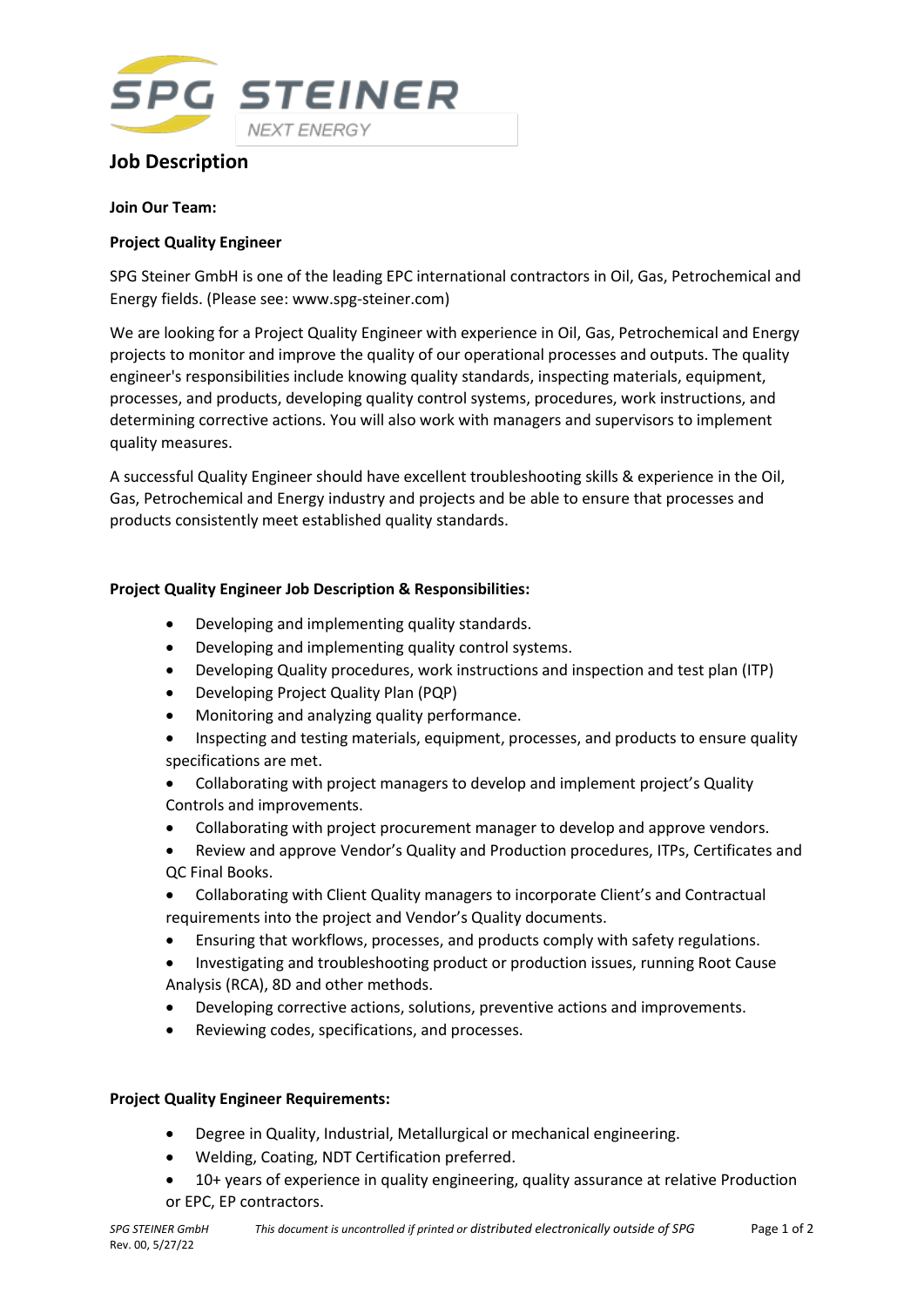

# **Job Description**

#### **Join Our Team:**

### **Project Quality Engineer**

SPG Steiner GmbH is one of the leading EPC international contractors in Oil, Gas, Petrochemical and Energy fields. (Please see: www.spg-steiner.com)

We are looking for a Project Quality Engineer with experience in Oil, Gas, Petrochemical and Energy projects to monitor and improve the quality of our operational processes and outputs. The quality engineer's responsibilities include knowing quality standards, inspecting materials, equipment, processes, and products, developing quality control systems, procedures, work instructions, and determining corrective actions. You will also work with managers and supervisors to implement quality measures.

A successful Quality Engineer should have excellent troubleshooting skills & experience in the Oil, Gas, Petrochemical and Energy industry and projects and be able to ensure that processes and products consistently meet established quality standards.

## **Project Quality Engineer Job Description & Responsibilities:**

- Developing and implementing quality standards.
- Developing and implementing quality control systems.
- Developing Quality procedures, work instructions and inspection and test plan (ITP)
- Developing Project Quality Plan (PQP)
- Monitoring and analyzing quality performance.
- Inspecting and testing materials, equipment, processes, and products to ensure quality specifications are met.
- Collaborating with project managers to develop and implement project's Quality Controls and improvements.
- Collaborating with project procurement manager to develop and approve vendors.
- Review and approve Vendor's Quality and Production procedures, ITPs, Certificates and QC Final Books.
- Collaborating with Client Quality managers to incorporate Client's and Contractual requirements into the project and Vendor's Quality documents.
- Ensuring that workflows, processes, and products comply with safety regulations.
- Investigating and troubleshooting product or production issues, running Root Cause Analysis (RCA), 8D and other methods.
- Developing corrective actions, solutions, preventive actions and improvements.
- Reviewing codes, specifications, and processes.

#### **Project Quality Engineer Requirements:**

- Degree in Quality, Industrial, Metallurgical or mechanical engineering.
- Welding, Coating, NDT Certification preferred.
- 10+ years of experience in quality engineering, quality assurance at relative Production or EPC, EP contractors.